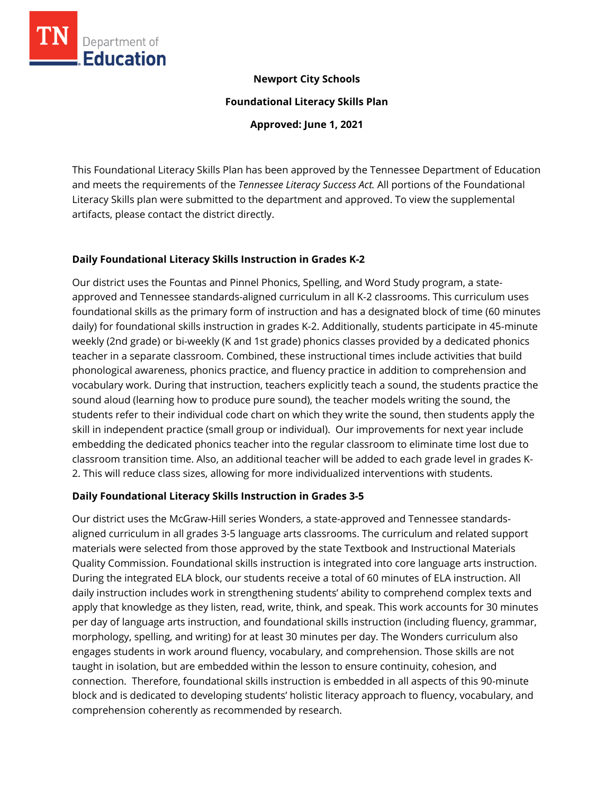

## **Newport City Schools**

**Foundational Literacy Skills Plan**

**Approved: June 1, 2021**

This Foundational Literacy Skills Plan has been approved by the Tennessee Department of Education and meets the requirements of the *Tennessee Literacy Success Act.* All portions of the Foundational Literacy Skills plan were submitted to the department and approved. To view the supplemental artifacts, please contact the district directly.

### **Daily Foundational Literacy Skills Instruction in Grades K-2**

Our district uses the Fountas and Pinnel Phonics, Spelling, and Word Study program, a stateapproved and Tennessee standards-aligned curriculum in all K-2 classrooms. This curriculum uses foundational skills as the primary form of instruction and has a designated block of time (60 minutes daily) for foundational skills instruction in grades K-2. Additionally, students participate in 45-minute weekly (2nd grade) or bi-weekly (K and 1st grade) phonics classes provided by a dedicated phonics teacher in a separate classroom. Combined, these instructional times include activities that build phonological awareness, phonics practice, and fluency practice in addition to comprehension and vocabulary work. During that instruction, teachers explicitly teach a sound, the students practice the sound aloud (learning how to produce pure sound), the teacher models writing the sound, the students refer to their individual code chart on which they write the sound, then students apply the skill in independent practice (small group or individual). Our improvements for next year include embedding the dedicated phonics teacher into the regular classroom to eliminate time lost due to classroom transition time. Also, an additional teacher will be added to each grade level in grades K-2. This will reduce class sizes, allowing for more individualized interventions with students.

### **Daily Foundational Literacy Skills Instruction in Grades 3-5**

Our district uses the McGraw-Hill series Wonders, a state-approved and Tennessee standardsaligned curriculum in all grades 3-5 language arts classrooms. The curriculum and related support materials were selected from those approved by the state Textbook and Instructional Materials Quality Commission. Foundational skills instruction is integrated into core language arts instruction. During the integrated ELA block, our students receive a total of 60 minutes of ELA instruction. All daily instruction includes work in strengthening students' ability to comprehend complex texts and apply that knowledge as they listen, read, write, think, and speak. This work accounts for 30 minutes per day of language arts instruction, and foundational skills instruction (including fluency, grammar, morphology, spelling, and writing) for at least 30 minutes per day. The Wonders curriculum also engages students in work around fluency, vocabulary, and comprehension. Those skills are not taught in isolation, but are embedded within the lesson to ensure continuity, cohesion, and connection. Therefore, foundational skills instruction is embedded in all aspects of this 90-minute block and is dedicated to developing students' holistic literacy approach to fluency, vocabulary, and comprehension coherently as recommended by research.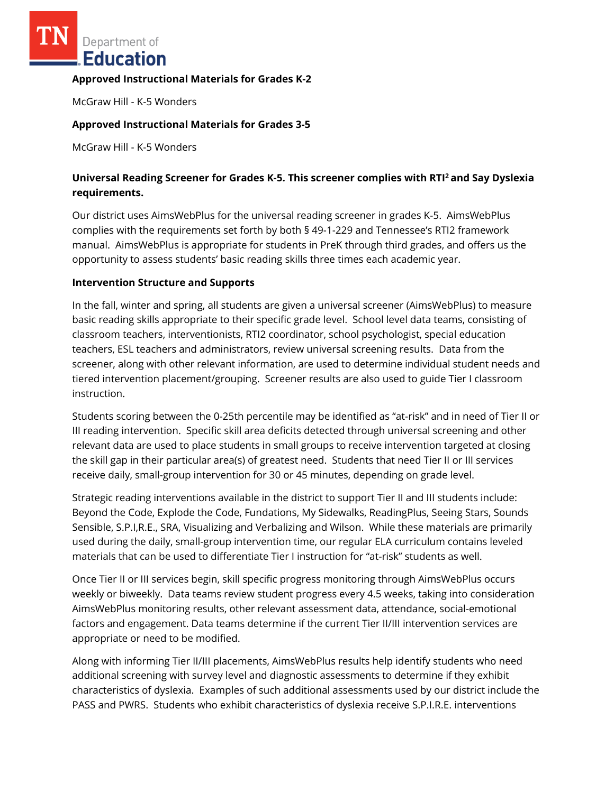Department of **Education** 

#### **Approved Instructional Materials for Grades K-2**

McGraw Hill - K-5 Wonders

### **Approved Instructional Materials for Grades 3-5**

McGraw Hill - K-5 Wonders

# **Universal Reading Screener for Grades K-5. This screener complies with RTI<sup>2</sup>and Say Dyslexia requirements.**

Our district uses AimsWebPlus for the universal reading screener in grades K-5. AimsWebPlus complies with the requirements set forth by both § 49-1-229 and Tennessee's RTI2 framework manual. AimsWebPlus is appropriate for students in PreK through third grades, and offers us the opportunity to assess students' basic reading skills three times each academic year.

#### **Intervention Structure and Supports**

In the fall, winter and spring, all students are given a universal screener (AimsWebPlus) to measure basic reading skills appropriate to their specific grade level. School level data teams, consisting of classroom teachers, interventionists, RTI2 coordinator, school psychologist, special education teachers, ESL teachers and administrators, review universal screening results. Data from the screener, along with other relevant information, are used to determine individual student needs and tiered intervention placement/grouping. Screener results are also used to guide Tier I classroom instruction.

Students scoring between the 0-25th percentile may be identified as "at-risk" and in need of Tier II or III reading intervention. Specific skill area deficits detected through universal screening and other relevant data are used to place students in small groups to receive intervention targeted at closing the skill gap in their particular area(s) of greatest need. Students that need Tier II or III services receive daily, small-group intervention for 30 or 45 minutes, depending on grade level.

Strategic reading interventions available in the district to support Tier II and III students include: Beyond the Code, Explode the Code, Fundations, My Sidewalks, ReadingPlus, Seeing Stars, Sounds Sensible, S.P.I,R.E., SRA, Visualizing and Verbalizing and Wilson. While these materials are primarily used during the daily, small-group intervention time, our regular ELA curriculum contains leveled materials that can be used to differentiate Tier I instruction for "at-risk" students as well.

Once Tier II or III services begin, skill specific progress monitoring through AimsWebPlus occurs weekly or biweekly. Data teams review student progress every 4.5 weeks, taking into consideration AimsWebPlus monitoring results, other relevant assessment data, attendance, social-emotional factors and engagement. Data teams determine if the current Tier II/III intervention services are appropriate or need to be modified.

Along with informing Tier II/III placements, AimsWebPlus results help identify students who need additional screening with survey level and diagnostic assessments to determine if they exhibit characteristics of dyslexia. Examples of such additional assessments used by our district include the PASS and PWRS. Students who exhibit characteristics of dyslexia receive S.P.I.R.E. interventions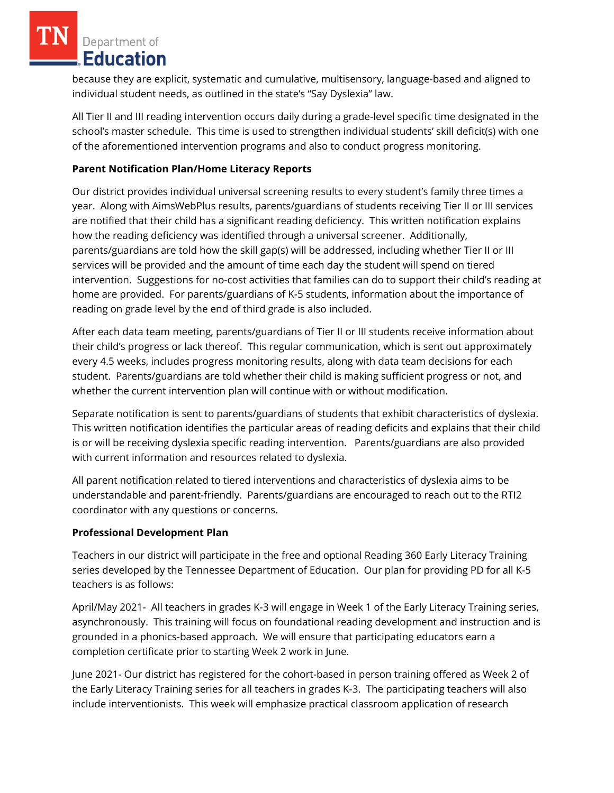Department of Education

because they are explicit, systematic and cumulative, multisensory, language-based and aligned to individual student needs, as outlined in the state's "Say Dyslexia" law.

All Tier II and III reading intervention occurs daily during a grade-level specific time designated in the school's master schedule. This time is used to strengthen individual students' skill deficit(s) with one of the aforementioned intervention programs and also to conduct progress monitoring.

## **Parent Notification Plan/Home Literacy Reports**

Our district provides individual universal screening results to every student's family three times a year. Along with AimsWebPlus results, parents/guardians of students receiving Tier II or III services are notified that their child has a significant reading deficiency. This written notification explains how the reading deficiency was identified through a universal screener. Additionally, parents/guardians are told how the skill gap(s) will be addressed, including whether Tier II or III services will be provided and the amount of time each day the student will spend on tiered intervention. Suggestions for no-cost activities that families can do to support their child's reading at home are provided. For parents/guardians of K-5 students, information about the importance of reading on grade level by the end of third grade is also included.

After each data team meeting, parents/guardians of Tier II or III students receive information about their child's progress or lack thereof. This regular communication, which is sent out approximately every 4.5 weeks, includes progress monitoring results, along with data team decisions for each student. Parents/guardians are told whether their child is making sufficient progress or not, and whether the current intervention plan will continue with or without modification.

Separate notification is sent to parents/guardians of students that exhibit characteristics of dyslexia. This written notification identifies the particular areas of reading deficits and explains that their child is or will be receiving dyslexia specific reading intervention. Parents/guardians are also provided with current information and resources related to dyslexia.

All parent notification related to tiered interventions and characteristics of dyslexia aims to be understandable and parent-friendly. Parents/guardians are encouraged to reach out to the RTI2 coordinator with any questions or concerns.

### **Professional Development Plan**

Teachers in our district will participate in the free and optional Reading 360 Early Literacy Training series developed by the Tennessee Department of Education. Our plan for providing PD for all K-5 teachers is as follows:

April/May 2021- All teachers in grades K-3 will engage in Week 1 of the Early Literacy Training series, asynchronously. This training will focus on foundational reading development and instruction and is grounded in a phonics-based approach. We will ensure that participating educators earn a completion certificate prior to starting Week 2 work in June.

June 2021- Our district has registered for the cohort-based in person training offered as Week 2 of the Early Literacy Training series for all teachers in grades K-3. The participating teachers will also include interventionists. This week will emphasize practical classroom application of research